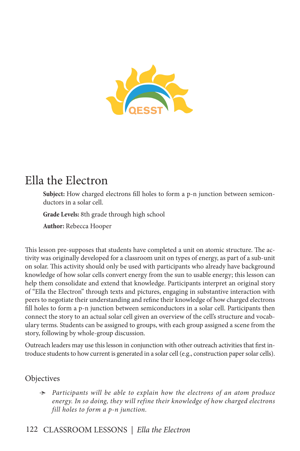

# Ella the Electron

**Subject:** How charged electrons fill holes to form a p-n junction between semiconductors in a solar cell.

**Grade Levels:** 8th grade through high school

**Author:** Rebecca Hooper

This lesson pre-supposes that students have completed a unit on atomic structure. The activity was originally developed for a classroom unit on types of energy, as part of a sub-unit on solar. This activity should only be used with participants who already have background knowledge of how solar cells convert energy from the sun to usable energy; this lesson can help them consolidate and extend that knowledge. Participants interpret an original story of "Ella the Electron" through texts and pictures, engaging in substantive interaction with peers to negotiate their understanding and refine their knowledge of how charged electrons fill holes to form a p-n junction between semiconductors in a solar cell. Participants then connect the story to an actual solar cell given an overview of the cell's structure and vocabulary terms. Students can be assigned to groups, with each group assigned a scene from the story, following by whole-group discussion.

Outreach leaders may use this lesson in conjunction with other outreach activities that first introduce students to how current is generated in a solar cell (e.g., construction paper solar cells).

## **Objectives**

Ӻ *Participants will be able to explain how the electrons of an atom produce energy. In so doing, they will refine their knowledge of how charged electrons fill holes to form a p-n junction.* 

## 122 CLASSROOM LESSONS *| Ella the Electron*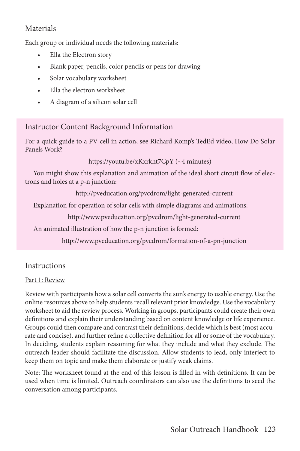## Materials

Each group or individual needs the following materials:

- Ella the Electron story
- Blank paper, pencils, color pencils or pens for drawing
- Solar vocabulary worksheet
- Ella the electron worksheet
- A diagram of a silicon solar cell

## Instructor Content Background Information

For a quick guide to a PV cell in action, see Richard Komp's TedEd video, How Do Solar Panels Work?

https://youtu.be/xKxrkht7CpY (~4 minutes)

You might show this explanation and animation of the ideal short circuit flow of electrons and holes at a p-n junction:

http://pveducation.org/pvcdrom/light-generated-current

Explanation for operation of solar cells with simple diagrams and animations:

http://www.pveducation.org/pvcdrom/light-generated-current

An animated illustration of how the p-n junction is formed:

http://www.pveducation.org/pvcdrom/formation-of-a-pn-junction

## **Instructions**

## Part 1: Review

Review with participants how a solar cell converts the sun's energy to usable energy. Use the online resources above to help students recall relevant prior knowledge. Use the vocabulary worksheet to aid the review process. Working in groups, participants could create their own definitions and explain their understanding based on content knowledge or life experience. Groups could then compare and contrast their definitions, decide which is best (most accurate and concise), and further refine a collective definition for all or some of the vocabulary. In deciding, students explain reasoning for what they include and what they exclude. The outreach leader should facilitate the discussion. Allow students to lead, only interject to keep them on topic and make them elaborate or justify weak claims.

Note: The worksheet found at the end of this lesson is filled in with definitions. It can be used when time is limited. Outreach coordinators can also use the definitions to seed the conversation among participants.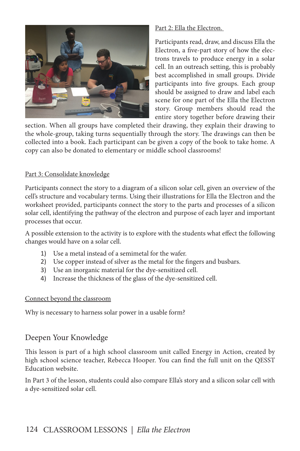

#### Part 2: Ella the Electron.

Participants read, draw, and discuss Ella the Electron, a five-part story of how the electrons travels to produce energy in a solar cell. In an outreach setting, this is probably best accomplished in small groups. Divide participants into five groups. Each group should be assigned to draw and label each scene for one part of the Ella the Electron story. Group members should read the entire story together before drawing their

section. When all groups have completed their drawing, they explain their drawing to the whole-group, taking turns sequentially through the story. The drawings can then be collected into a book. Each participant can be given a copy of the book to take home. A copy can also be donated to elementary or middle school classrooms!

#### Part 3: Consolidate knowledge

Participants connect the story to a diagram of a silicon solar cell, given an overview of the cell's structure and vocabulary terms. Using their illustrations for Ella the Electron and the worksheet provided, participants connect the story to the parts and processes of a silicon solar cell, identifying the pathway of the electron and purpose of each layer and important processes that occur.

A possible extension to the activity is to explore with the students what effect the following changes would have on a solar cell.

- 1) Use a metal instead of a semimetal for the wafer.
- 2) Use copper instead of silver as the metal for the fingers and busbars.
- 3) Use an inorganic material for the dye-sensitized cell.
- 4) Increase the thickness of the glass of the dye-sensitized cell.

#### Connect beyond the classroom

Why is necessary to harness solar power in a usable form?

## Deepen Your Knowledge

This lesson is part of a high school classroom unit called Energy in Action, created by high school science teacher, Rebecca Hooper. You can find the full unit on the QESST Education website.

In Part 3 of the lesson, students could also compare Ella's story and a silicon solar cell with a dye-sensitized solar cell.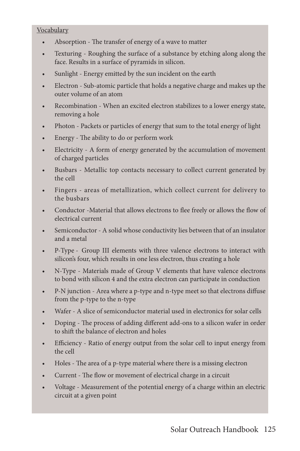#### **Vocabulary**

- Absorption The transfer of energy of a wave to matter
- Texturing Roughing the surface of a substance by etching along along the face. Results in a surface of pyramids in silicon.
- Sunlight Energy emitted by the sun incident on the earth
- Electron Sub-atomic particle that holds a negative charge and makes up the outer volume of an atom
- Recombination When an excited electron stabilizes to a lower energy state, removing a hole
- Photon Packets or particles of energy that sum to the total energy of light
- Energy The ability to do or perform work
- Electricity A form of energy generated by the accumulation of movement of charged particles
- Busbars Metallic top contacts necessary to collect current generated by the cell
- Fingers areas of metallization, which collect current for delivery to the busbars
- Conductor -Material that allows electrons to flee freely or allows the flow of electrical current
- Semiconductor A solid whose conductivity lies between that of an insulator and a metal
- P-Type Group III elements with three valence electrons to interact with silicon's four, which results in one less electron, thus creating a hole
- N-Type Materials made of Group V elements that have valence electrons to bond with silicon 4 and the extra electron can participate in conduction
- P-N junction Area where a p-type and n-type meet so that electrons diffuse from the p-type to the n-type
- Wafer A slice of semiconductor material used in electronics for solar cells
- Doping The process of adding different add-ons to a silicon wafer in order to shift the balance of electron and holes
- Efficiency Ratio of energy output from the solar cell to input energy from the cell
- Holes The area of a p-type material where there is a missing electron
- Current The flow or movement of electrical charge in a circuit
- Voltage Measurement of the potential energy of a charge within an electric circuit at a given point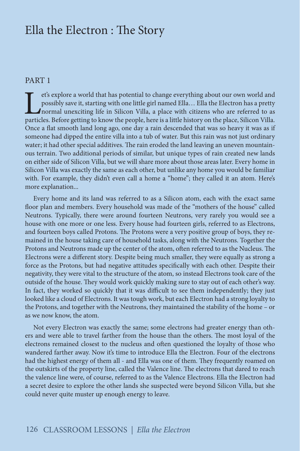## Ella the Electron : The Story

#### PART 1

explore a world that has potential to change everything about our own world and possibly save it, starting with one little girl named Ella... Ella the Electron has a pretty normal unexciting life in Silicon Villa, a place possibly save it, starting with one little girl named Ella… Ella the Electron has a pretty normal unexciting life in Silicon Villa, a place with citizens who are referred to as particles. Before getting to know the people, here is a little history on the place, Silicon Villa. Once a flat smooth land long ago, one day a rain descended that was so heavy it was as if someone had dipped the entire villa into a tub of water. But this rain was not just ordinary water; it had other special additives. The rain eroded the land leaving an uneven mountainous terrain. Two additional periods of similar, but unique types of rain created new lands on either side of Silicon Villa, but we will share more about those areas later. Every home in Silicon Villa was exactly the same as each other, but unlike any home you would be familiar with. For example, they didn't even call a home a "home"; they called it an atom. Here's more explanation...

Every home and its land was referred to as a Silicon atom, each with the exact same floor plan and members. Every household was made of the "mothers of the house" called Neutrons. Typically, there were around fourteen Neutrons, very rarely you would see a house with one more or one less. Every house had fourteen girls, referred to as Electrons, and fourteen boys called Protons. The Protons were a very positive group of boys, they remained in the house taking care of household tasks, along with the Neutrons. Together the Protons and Neutrons made up the center of the atom, often referred to as the Nucleus. The Electrons were a different story. Despite being much smaller, they were equally as strong a force as the Protons, but had negative attitudes specifically with each other. Despite their negativity, they were vital to the structure of the atom, so instead Electrons took care of the outside of the house. They would work quickly making sure to stay out of each other's way. In fact, they worked so quickly that it was difficult to see them independently; they just looked like a cloud of Electrons. It was tough work, but each Electron had a strong loyalty to the Protons, and together with the Neutrons, they maintained the stability of the home – or as we now know, the atom.

Not every Electron was exactly the same; some electrons had greater energy than others and were able to travel farther from the house than the others. The most loyal of the electrons remained closest to the nucleus and often questioned the loyalty of those who wandered farther away. Now it's time to introduce Ella the Electron. Four of the electrons had the highest energy of them all - and Ella was one of them. They frequently roamed on the outskirts of the property line, called the Valence line. The electrons that dared to reach the valence line were, of course, referred to as the Valence Electrons. Ella the Electron had a secret desire to explore the other lands she suspected were beyond Silicon Villa, but she could never quite muster up enough energy to leave.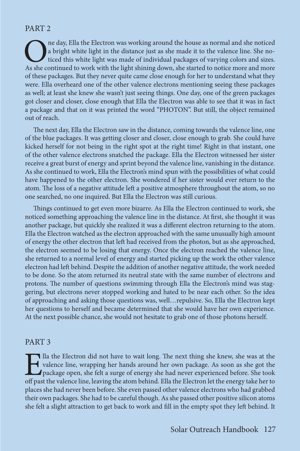#### PART 2

The day, Ella the Electron was working around the house as normal and she noticed<br>a bright white light in the distance just as she made it to the valence line. She no-<br>ticed this white light was made of individual packages a bright white light in the distance just as she made it to the valence line. She noticed this white light was made of individual packages of varying colors and sizes. As she continued to work with the light shining down, she started to notice more and more of these packages. But they never quite came close enough for her to understand what they were. Ella overheard one of the other valence electrons mentioning seeing these packages as well; at least she knew she wasn't just seeing things. One day, one of the green packages got closer and closer, close enough that Ella the Electron was able to see that it was in fact a package and that on it was printed the word "PHOTON". But still, the object remained out of reach.

The next day, Ella the Electron saw in the distance, coming towards the valence line, one of the blue packages. It was getting closer and closer, close enough to grab. She could have kicked herself for not being in the right spot at the right time! Right in that instant, one of the other valence electrons snatched the package. Ella the Electron witnessed her sister receive a great burst of energy and sprint beyond the valence line, vanishing in the distance. As she continued to work, Ella the Electron's mind spun with the possibilities of what could have happened to the other electron. She wondered if her sister would ever return to the atom. The loss of a negative attitude left a positive atmosphere throughout the atom, so no one searched, no one inquired. But Ella the Electron was still curious.

Things continued to get even more bizarre. As Ella the Electron continued to work, she noticed something approaching the valence line in the distance. At first, she thought it was another package, but quickly she realized it was a different electron returning to the atom. Ella the Electron watched as the electron approached with the same unusually high amount of energy the other electron that left had received from the photon, but as she approached, the electron seemed to be losing that energy. Once the electron reached the valence line, she returned to a normal level of energy and started picking up the work the other valence electron had left behind. Despite the addition of another negative attitude, the work needed to be done. So the atom returned its neutral state with the same number of electrons and protons. The number of questions swimming through Ella the Electron's mind was staggering, but electrons never stopped working and hated to be near each other. So the idea of approaching and asking those questions was, well…repulsive. So, Ella the Electron kept her questions to herself and became determined that she would have her own experience. At the next possible chance, she would not hesitate to grab one of those photons herself.

#### PART 3

Illa the Electron did not have to wait long. The next thing she knew, she was at the valence line, wrapping her hands around her own package. As soon as she got the package open, she felt a surge of energy she had never ex valence line, wrapping her hands around her own package. As soon as she got the package open, she felt a surge of energy she had never experienced before. She took off past the valence line, leaving the atom behind. Ella the Electron let the energy take her to places she had never been before. She even passed other valence electrons who had grabbed their own packages. She had to be careful though. As she passed other positive silicon atoms she felt a slight attraction to get back to work and fill in the empty spot they left behind. It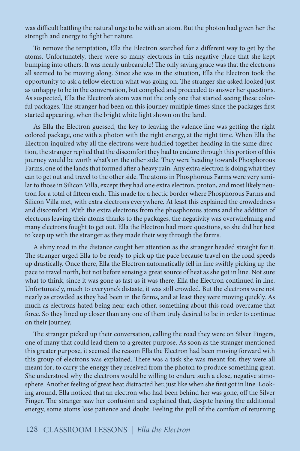was difficult battling the natural urge to be with an atom. But the photon had given her the strength and energy to fight her nature.

To remove the temptation, Ella the Electron searched for a different way to get by the atoms. Unfortunately, there were so many electrons in this negative place that she kept bumping into others. It was nearly unbearable! The only saving grace was that the electrons all seemed to be moving along. Since she was in the situation, Ella the Electron took the opportunity to ask a fellow electron what was going on. The stranger she asked looked just as unhappy to be in the conversation, but complied and proceeded to answer her questions. As suspected, Ella the Electron's atom was not the only one that started seeing these colorful packages. The stranger had been on this journey multiple times since the packages first started appearing, when the bright white light shown on the land.

As Ella the Electron guessed, the key to leaving the valence line was getting the right colored package, one with a photon with the right energy, at the right time. When Ella the Electron inquired why all the electrons were huddled together heading in the same direction, the stranger replied that the discomfort they had to endure through this portion of this journey would be worth what's on the other side. They were heading towards Phosphorous Farms, one of the lands that formed after a heavy rain. Any extra electron is doing what they can to get out and travel to the other side. The atoms in Phosphorous Farms were very similar to those in Silicon Villa, except they had one extra electron, proton, and most likely neutron for a total of fifteen each. This made for a hectic border where Phosphorous Farms and Silicon Villa met, with extra electrons everywhere. At least this explained the crowdedness and discomfort. With the extra electrons from the phosphorous atoms and the addition of electrons leaving their atoms thanks to the packages, the negativity was overwhelming and many electrons fought to get out. Ella the Electron had more questions, so she did her best to keep up with the stranger as they made their way through the farms.

A shiny road in the distance caught her attention as the stranger headed straight for it. The stranger urged Ella to be ready to pick up the pace because travel on the road speeds up drastically. Once there, Ella the Electron automatically fell in line swiftly picking up the pace to travel north, but not before sensing a great source of heat as she got in line. Not sure what to think, since it was gone as fast as it was there, Ella the Electron continued in line. Unfortunately, much to everyone's distaste, it was still crowded. But the electrons were not nearly as crowded as they had been in the farms, and at least they were moving quickly. As much as electrons hated being near each other, something about this road overcame that force. So they lined up closer than any one of them truly desired to be in order to continue on their journey.

The stranger picked up their conversation, calling the road they were on Silver Fingers, one of many that could lead them to a greater purpose. As soon as the stranger mentioned this greater purpose, it seemed the reason Ella the Electron had been moving forward with this group of electrons was explained. There was a task she was meant for, they were all meant for; to carry the energy they received from the photon to produce something great. She understood why the electrons would be willing to endure such a close, negative atmosphere. Another feeling of great heat distracted her, just like when she first got in line. Looking around, Ella noticed that an electron who had been behind her was gone, off the Silver Finger. The stranger saw her confusion and explained that, despite having the additional energy, some atoms lose patience and doubt. Feeling the pull of the comfort of returning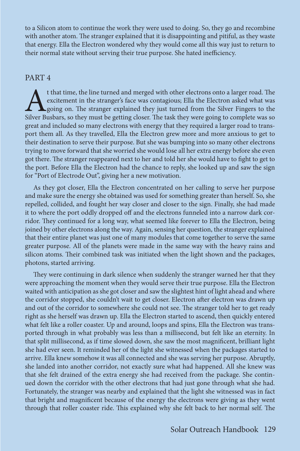to a Silicon atom to continue the work they were used to doing. So, they go and recombine with another atom. The stranger explained that it is disappointing and pitiful, as they waste that energy. Ella the Electron wondered why they would come all this way just to return to their normal state without serving their true purpose. She hated inefficiency.

#### PART 4

t that time, the line turned and merged with other electrons onto a larger road. The excitement in the stranger's face was contagious; Ella the Electron asked what was going on. The stranger explained they just turned from excitement in the stranger's face was contagious; Ella the Electron asked what was  $\blacktriangle$  going on. The stranger explained they just turned from the Silver Fingers to the Silver Busbars, so they must be getting closer. The task they were going to complete was so great and included so many electrons with energy that they required a larger road to transport them all. As they travelled, Ella the Electron grew more and more anxious to get to their destination to serve their purpose. But she was bumping into so many other electrons trying to move forward that she worried she would lose all her extra energy before she even got there. The stranger reappeared next to her and told her she would have to fight to get to the port. Before Ella the Electron had the chance to reply, she looked up and saw the sign for "Port of Electrode Out", giving her a new motivation.

As they got closer, Ella the Electron concentrated on her calling to serve her purpose and make sure the energy she obtained was used for something greater than herself. So, she repelled, collided, and fought her way closer and closer to the sign. Finally, she had made it to where the port oddly dropped off and the electrons funneled into a narrow dark corridor. They continued for a long way, what seemed like forever to Ella the Electron, being joined by other electrons along the way. Again, sensing her question, the stranger explained that their entire planet was just one of many modules that come together to serve the same greater purpose. All of the planets were made in the same way with the heavy rains and silicon atoms. Their combined task was initiated when the light shown and the packages, photons, started arriving.

They were continuing in dark silence when suddenly the stranger warned her that they were approaching the moment when they would serve their true purpose. Ella the Electron waited with anticipation as she got closer and saw the slightest hint of light ahead and where the corridor stopped, she couldn't wait to get closer. Electron after electron was drawn up and out of the corridor to somewhere she could not see. The stranger told her to get ready right as she herself was drawn up. Ella the Electron started to ascend, then quickly entered what felt like a roller coaster. Up and around, loops and spins, Ella the Electron was transported through in what probably was less than a millisecond, but felt like an eternity. In that split millisecond, as if time slowed down, she saw the most magnificent, brilliant light she had ever seen. It reminded her of the light she witnessed when the packages started to arrive. Ella knew somehow it was all connected and she was serving her purpose. Abruptly, she landed into another corridor, not exactly sure what had happened. All she knew was that she felt drained of the extra energy she had received from the package. She continued down the corridor with the other electrons that had just gone through what she had. Fortunately, the stranger was nearby and explained that the light she witnessed was in fact that bright and magnificent because of the energy the electrons were giving as they went through that roller coaster ride. This explained why she felt back to her normal self. The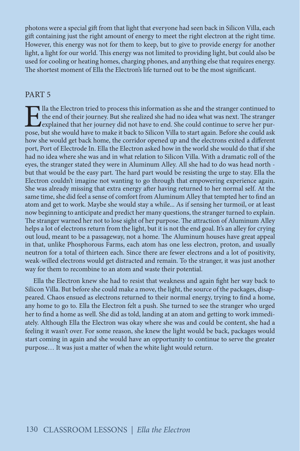photons were a special gift from that light that everyone had seen back in Silicon Villa, each gift containing just the right amount of energy to meet the right electron at the right time. However, this energy was not for them to keep, but to give to provide energy for another light, a light for our world. This energy was not limited to providing light, but could also be used for cooling or heating homes, charging phones, and anything else that requires energy. The shortest moment of Ella the Electron's life turned out to be the most significant.

#### PART 5

Illa the Electron tried to process this information as she and the stranger continued to the end of their journey. But she realized she had no idea what was next. The stranger explained that her journey did not have to end the end of their journey. But she realized she had no idea what was next. The stranger explained that her journey did not have to end. She could continue to serve her purpose, but she would have to make it back to Silicon Villa to start again. Before she could ask how she would get back home, the corridor opened up and the electrons exited a different port, Port of Electrode In. Ella the Electron asked how in the world she would do that if she had no idea where she was and in what relation to Silicon Villa. With a dramatic roll of the eyes, the stranger stated they were in Aluminum Alley. All she had to do was head north but that would be the easy part. The hard part would be resisting the urge to stay. Ella the Electron couldn't imagine not wanting to go through that empowering experience again. She was already missing that extra energy after having returned to her normal self. At the same time, she did feel a sense of comfort from Aluminum Alley that tempted her to find an atom and get to work. Maybe she would stay a while... As if sensing her turmoil, or at least now beginning to anticipate and predict her many questions, the stranger turned to explain. The stranger warned her not to lose sight of her purpose. The attraction of Aluminum Alley helps a lot of electrons return from the light, but it is not the end goal. It's an alley for crying out loud, meant to be a passageway, not a home. The Aluminum houses have great appeal in that, unlike Phosphorous Farms, each atom has one less electron, proton, and usually neutron for a total of thirteen each. Since there are fewer electrons and a lot of positivity, weak-willed electrons would get distracted and remain. To the stranger, it was just another way for them to recombine to an atom and waste their potential.

Ella the Electron knew she had to resist that weakness and again fight her way back to Silicon Villa. But before she could make a move, the light, the source of the packages, disappeared. Chaos ensued as electrons returned to their normal energy, trying to find a home, any home to go to. Ella the Electron felt a push. She turned to see the stranger who urged her to find a home as well. She did as told, landing at an atom and getting to work immediately. Although Ella the Electron was okay where she was and could be content, she had a feeling it wasn't over. For some reason, she knew the light would be back, packages would start coming in again and she would have an opportunity to continue to serve the greater purpose… It was just a matter of when the white light would return.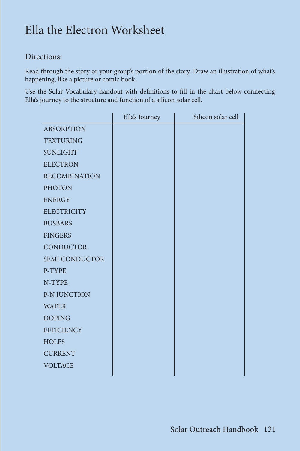# Ella the Electron Worksheet

#### Directions:

Read through the story or your group's portion of the story. Draw an illustration of what's happening, like a picture or comic book.

Use the Solar Vocabulary handout with definitions to fill in the chart below connecting Ella's journey to the structure and function of a silicon solar cell.

|                       | Ella's Journey | Silicon solar cell |
|-----------------------|----------------|--------------------|
| <b>ABSORPTION</b>     |                |                    |
| <b>TEXTURING</b>      |                |                    |
| <b>SUNLIGHT</b>       |                |                    |
| <b>ELECTRON</b>       |                |                    |
| <b>RECOMBINATION</b>  |                |                    |
| <b>PHOTON</b>         |                |                    |
| <b>ENERGY</b>         |                |                    |
| <b>ELECTRICITY</b>    |                |                    |
| <b>BUSBARS</b>        |                |                    |
| <b>FINGERS</b>        |                |                    |
| <b>CONDUCTOR</b>      |                |                    |
| <b>SEMI CONDUCTOR</b> |                |                    |
| P-TYPE                |                |                    |
| N-TYPE                |                |                    |
| P-N JUNCTION          |                |                    |
| <b>WAFER</b>          |                |                    |
| <b>DOPING</b>         |                |                    |
| <b>EFFICIENCY</b>     |                |                    |
| <b>HOLES</b>          |                |                    |
| <b>CURRENT</b>        |                |                    |
| <b>VOLTAGE</b>        |                |                    |
|                       |                |                    |